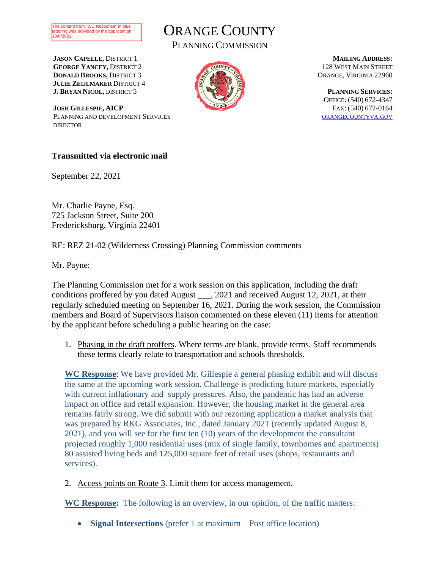



PLANNING COMMISSION

**JASON CAPELLE,** DISTRICT 1 **GEORGE YANCEY,** DISTRICT 2 **DONALD BROOKS,** DISTRICT 3 **JULIE ZEIJLMAKER** DISTRICT 4 **J. BRYAN NICOL,** DISTRICT 5

**JOSH GILLESPIE, AICP** PLANNING AND DEVELOPMENT SERVICES **DIRECTOR** 



**MAILING ADDRESS:** 128 WEST MAIN STREET ORANGE, VIRGINIA 22960

**PLANNING SERVICES:** OFFICE: (540) 672-4347 FAX: (540) 672-0164 [ORANGECOUNTYVA](file://///OC-DEPT/Planning/Letterhead/Planning%20Commission%20Letterhead.docx).GOV

#### **Transmitted via electronic mail**

September 22, 2021

Mr. Charlie Payne, Esq. 725 Jackson Street, Suite 200 Fredericksburg, Virginia 22401

RE: REZ 21-02 (Wilderness Crossing) Planning Commission comments

Mr. Payne:

The Planning Commission met for a work session on this application, including the draft conditions proffered by you dated August \_\_\_, 2021 and received August 12, 2021, at their regularly scheduled meeting on September 16, 2021. During the work session, the Commission members and Board of Supervisors liaison commented on these eleven (11) items for attention by the applicant before scheduling a public hearing on the case:

1. Phasing in the draft proffers. Where terms are blank, provide terms. Staff recommends these terms clearly relate to transportation and schools thresholds.

**WC Response**: We have provided Mr. Gillespie a general phasing exhibit and will discuss the same at the upcoming work session. Challenge is predicting future markets, especially with current inflationary and supply pressures. Also, the pandemic has had an adverse impact on office and retail expansion. However, the housing market in the general area remains fairly strong. We did submit with our rezoning application a market analysis that was prepared by RKG Associates, Inc., dated January 2021 (recently updated August 8, 2021), and you will see for the first ten (10) years of the development the consultant projected roughly 1,000 residential uses (mix of single family, townhomes and apartments) 80 assisted living beds and 125,000 square feet of retail uses (shops, restaurants and services).

2. Access points on Route 3. Limit them for access management.

**WC Response:** The following is an overview, in our opinion, of the traffic matters:

• **Signal Intersections** (prefer 1 at maximum—Post office location)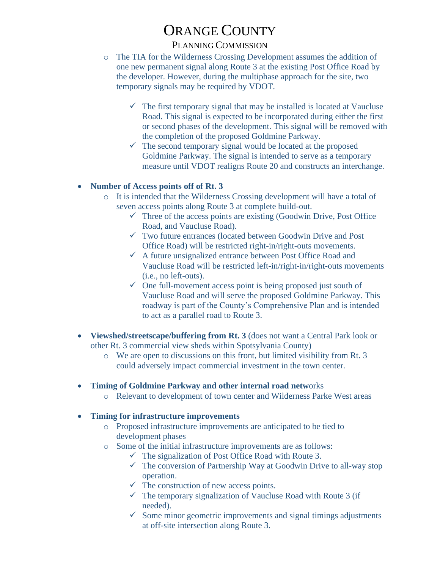### PLANNING COMMISSION

- o The TIA for the Wilderness Crossing Development assumes the addition of one new permanent signal along Route 3 at the existing Post Office Road by the developer. However, during the multiphase approach for the site, two temporary signals may be required by VDOT.
	- $\checkmark$  The first temporary signal that may be installed is located at Vaucluse Road. This signal is expected to be incorporated during either the first or second phases of the development. This signal will be removed with the completion of the proposed Goldmine Parkway.
	- $\checkmark$  The second temporary signal would be located at the proposed Goldmine Parkway. The signal is intended to serve as a temporary measure until VDOT realigns Route 20 and constructs an interchange.

### • **Number of Access points off of Rt. 3**

- o It is intended that the Wilderness Crossing development will have a total of seven access points along Route 3 at complete build-out.
	- $\checkmark$  Three of the access points are existing (Goodwin Drive, Post Office Road, and Vaucluse Road).
	- $\checkmark$  Two future entrances (located between Goodwin Drive and Post Office Road) will be restricted right-in/right-outs movements.
	- $\checkmark$  A future unsignalized entrance between Post Office Road and Vaucluse Road will be restricted left-in/right-in/right-outs movements (i.e., no left-outs).
	- $\checkmark$  One full-movement access point is being proposed just south of Vaucluse Road and will serve the proposed Goldmine Parkway. This roadway is part of the County's Comprehensive Plan and is intended to act as a parallel road to Route 3.
- **Viewshed/streetscape/buffering from Rt. 3** (does not want a Central Park look or other Rt. 3 commercial view sheds within Spotsylvania County)
	- o We are open to discussions on this front, but limited visibility from Rt. 3 could adversely impact commercial investment in the town center.
- **Timing of Goldmine Parkway and other internal road netw**orks
	- o Relevant to development of town center and Wilderness Parke West areas

#### • **Timing for infrastructure improvements**

- o Proposed infrastructure improvements are anticipated to be tied to development phases
- o Some of the initial infrastructure improvements are as follows:
	- $\checkmark$  The signalization of Post Office Road with Route 3.
	- $\checkmark$  The conversion of Partnership Way at Goodwin Drive to all-way stop operation.
	- $\checkmark$  The construction of new access points.
	- $\checkmark$  The temporary signalization of Vaucluse Road with Route 3 (if needed).
	- $\checkmark$  Some minor geometric improvements and signal timings adjustments at off-site intersection along Route 3.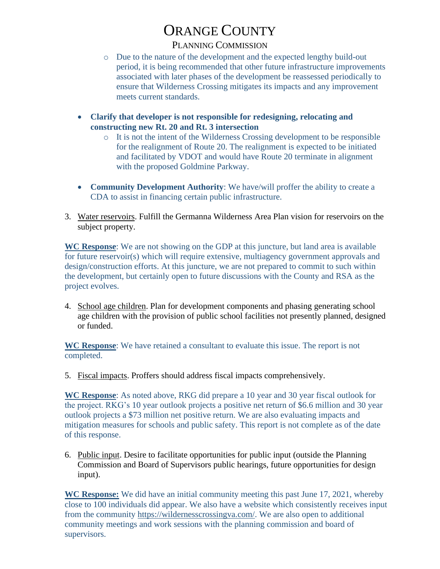### PLANNING COMMISSION

- o Due to the nature of the development and the expected lengthy build-out period, it is being recommended that other future infrastructure improvements associated with later phases of the development be reassessed periodically to ensure that Wilderness Crossing mitigates its impacts and any improvement meets current standards.
- **Clarify that developer is not responsible for redesigning, relocating and constructing new Rt. 20 and Rt. 3 intersection**
	- o It is not the intent of the Wilderness Crossing development to be responsible for the realignment of Route 20. The realignment is expected to be initiated and facilitated by VDOT and would have Route 20 terminate in alignment with the proposed Goldmine Parkway.
- **Community Development Authority**: We have/will proffer the ability to create a CDA to assist in financing certain public infrastructure.
- 3. Water reservoirs. Fulfill the Germanna Wilderness Area Plan vision for reservoirs on the subject property.

**WC Response**: We are not showing on the GDP at this juncture, but land area is available for future reservoir(s) which will require extensive, multiagency government approvals and design/construction efforts. At this juncture, we are not prepared to commit to such within the development, but certainly open to future discussions with the County and RSA as the project evolves.

4. School age children. Plan for development components and phasing generating school age children with the provision of public school facilities not presently planned, designed or funded.

**WC Response**: We have retained a consultant to evaluate this issue. The report is not completed.

5. Fiscal impacts. Proffers should address fiscal impacts comprehensively.

**WC Response**: As noted above, RKG did prepare a 10 year and 30 year fiscal outlook for the project. RKG's 10 year outlook projects a positive net return of \$6.6 million and 30 year outlook projects a \$73 million net positive return. We are also evaluating impacts and mitigation measures for schools and public safety. This report is not complete as of the date of this response.

6. Public input. Desire to facilitate opportunities for public input (outside the Planning Commission and Board of Supervisors public hearings, future opportunities for design input).

**WC Response:** We did have an initial community meeting this past June 17, 2021, whereby close to 100 individuals did appear. We also have a website which consistently receives input from the community [https://wildernesscrossingva.com/.](https://wildernesscrossingva.com/) We are also open to additional community meetings and work sessions with the planning commission and board of supervisors.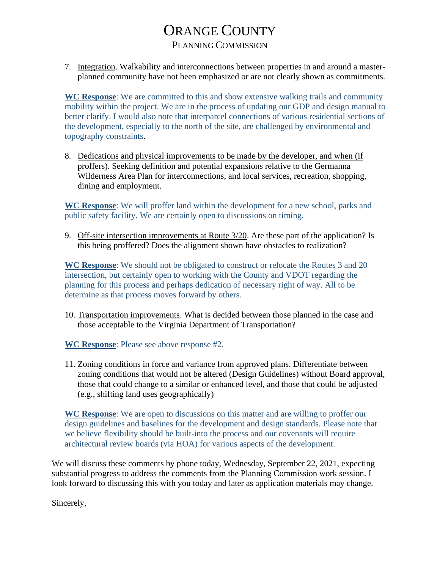### PLANNING COMMISSION

7. Integration. Walkability and interconnections between properties in and around a masterplanned community have not been emphasized or are not clearly shown as commitments.

**WC Response**: We are committed to this and show extensive walking trails and community mobility within the project. We are in the process of updating our GDP and design manual to better clarify. I would also note that interparcel connections of various residential sections of the development, especially to the north of the site, are challenged by environmental and topography constraints.

8. Dedications and physical improvements to be made by the developer, and when (if proffers). Seeking definition and potential expansions relative to the Germanna Wilderness Area Plan for interconnections, and local services, recreation, shopping, dining and employment.

**WC Response**: We will proffer land within the development for a new school, parks and public safety facility. We are certainly open to discussions on timing.

9. Off-site intersection improvements at Route 3/20. Are these part of the application? Is this being proffered? Does the alignment shown have obstacles to realization?

**WC Response**: We should not be obligated to construct or relocate the Routes 3 and 20 intersection, but certainly open to working with the County and VDOT regarding the planning for this process and perhaps dedication of necessary right of way. All to be determine as that process moves forward by others.

10. Transportation improvements. What is decided between those planned in the case and those acceptable to the Virginia Department of Transportation?

**WC Response**: Please see above response #2.

11. Zoning conditions in force and variance from approved plans. Differentiate between zoning conditions that would not be altered (Design Guidelines) without Board approval, those that could change to a similar or enhanced level, and those that could be adjusted (e.g., shifting land uses geographically)

**WC Response**: We are open to discussions on this matter and are willing to proffer our design guidelines and baselines for the development and design standards. Please note that we believe flexibility should be built-into the process and our covenants will require architectural review boards (via HOA) for various aspects of the development.

We will discuss these comments by phone today, Wednesday, September 22, 2021, expecting substantial progress to address the comments from the Planning Commission work session. I look forward to discussing this with you today and later as application materials may change.

Sincerely,